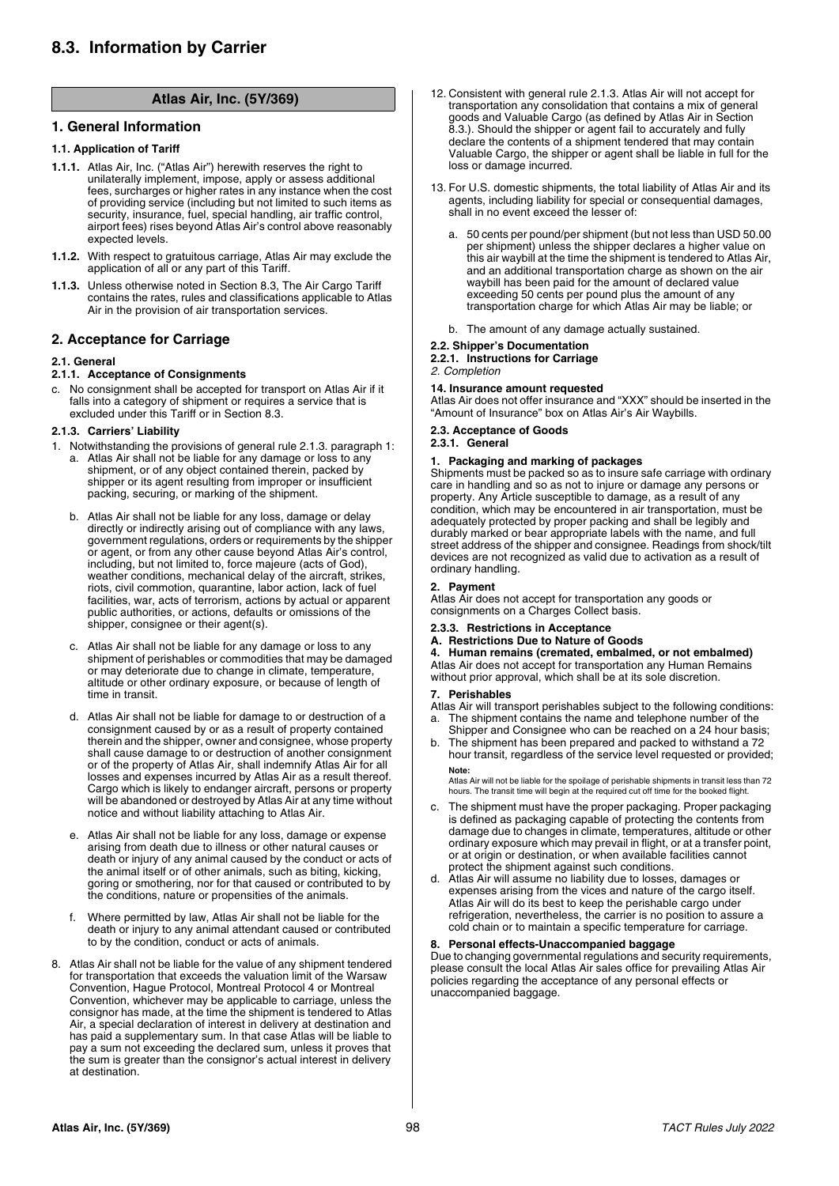# **Atlas Air, Inc. (5Y/369)**

# **1. General Information**

## **1.1. Application of Tariff**

.cnI ,riA saltA

- **1.1.1.** Atlas Air, Inc. ("Atlas Air") herewith reserves the right to unilaterally implement, impose, apply or assess additional fees, surcharges or higher rates in any instance when the cost of providing service (including but not limited to such items as security, insurance, fuel, special handling, air traffic control, airport fees) rises beyond Atlas Air's control above reasonably expected levels.
- **1.1.2.** With respect to gratuitous carriage, Atlas Air may exclude the application of all or any part of this Tariff.
- **1.1.3.** Unless otherwise noted in Section 8.3, The Air Cargo Tariff contains the rates, rules and classifications applicable to Atlas Air in the provision of air transportation services.

## **2. Acceptance for Carriage**

### **2.1. General**

### **2.1.1. Acceptance of Consignments**

No consignment shall be accepted for transport on Atlas Air if it falls into a category of shipment or requires a service that is excluded under this Tariff or in Section 8.3.

### **2.1.3. Carriers' Liability**

- 1. Notwithstanding the provisions of general rule 2.1.3. paragraph 1: a. Atlas Air shall not be liable for any damage or loss to any shipment, or of any object contained therein, packed by shipper or its agent resulting from improper or insufficient packing, securing, or marking of the shipment.
	- b. Atlas Air shall not be liable for any loss, damage or delay directly or indirectly arising out of compliance with any laws, government regulations, orders or requirements by the shipper or agent, or from any other cause beyond Atlas Air's control, including, but not limited to, force majeure (acts of God), weather conditions, mechanical delay of the aircraft, strikes, riots, civil commotion, quarantine, labor action, lack of fuel facilities, war, acts of terrorism, actions by actual or apparent public authorities, or actions, defaults or omissions of the shipper, consignee or their agent(s).
	- c. Atlas Air shall not be liable for any damage or loss to any shipment of perishables or commodities that may be damaged or may deteriorate due to change in climate, temperature, altitude or other ordinary exposure, or because of length of time in transit.
	- d. Atlas Air shall not be liable for damage to or destruction of a consignment caused by or as a result of property contained therein and the shipper, owner and consignee, whose property shall cause damage to or destruction of another consignment or of the property of Atlas Air, shall indemnify Atlas Air for all losses and expenses incurred by Atlas Air as a result thereof. Cargo which is likely to endanger aircraft, persons or property will be abandoned or destroyed by Atlas Air at any time without notice and without liability attaching to Atlas Air.
	- e. Atlas Air shall not be liable for any loss, damage or expense arising from death due to illness or other natural causes or death or injury of any animal caused by the conduct or acts of the animal itself or of other animals, such as biting, kicking, goring or smothering, nor for that caused or contributed to by the conditions, nature or propensities of the animals.
	- f. Where permitted by law, Atlas Air shall not be liable for the death or injury to any animal attendant caused or contributed to by the condition, conduct or acts of animals.
- 8. Atlas Air shall not be liable for the value of any shipment tendered for transportation that exceeds the valuation limit of the Warsaw Convention, Hague Protocol, Montreal Protocol 4 or Montreal Convention, whichever may be applicable to carriage, unless the consignor has made, at the time the shipment is tendered to Atlas Air, a special declaration of interest in delivery at destination and has paid a supplementary sum. In that case Atlas will be liable to pay a sum not exceeding the declared sum, unless it proves that the sum is greater than the consignor's actual interest in delivery at destination.
- 12. Consistent with general rule 2.1.3. Atlas Air will not accept for transportation any consolidation that contains a mix of general goods and Valuable Cargo (as defined by Atlas Air in Section 8.3.). Should the shipper or agent fail to accurately and fully declare the contents of a shipment tendered that may contain Valuable Cargo, the shipper or agent shall be liable in full for the loss or damage incurred.
- 13. For U.S. domestic shipments, the total liability of Atlas Air and its agents, including liability for special or consequential damages, shall in no event exceed the lesser of:
	- a. 50 cents per pound/per shipment (but not less than USD 50.00 per shipment) unless the shipper declares a higher value on this air waybill at the time the shipment is tendered to Atlas Air, and an additional transportation charge as shown on the air waybill has been paid for the amount of declared value exceeding 50 cents per pound plus the amount of any transportation charge for which Atlas Air may be liable; or
	- b. The amount of any damage actually sustained.

# **2.2. Shipper's Documentation**

# **2.2.1. Instructions for Carriage**

# *2. Completion*

**14. Insurance amount requested** Atlas Air does not offer insurance and "XXX" should be inserted in the "Amount of Insurance" box on Atlas Air's Air Waybills.

## **2.3. Acceptance of Goods**

**2.3.1. General**

### **1. Packaging and marking of packages**

Shipments must be packed so as to insure safe carriage with ordinary care in handling and so as not to injure or damage any persons or property. Any Article susceptible to damage, as a result of any condition, which may be encountered in air transportation, must be adequately protected by proper packing and shall be legibly and durably marked or bear appropriate labels with the name, and full street address of the shipper and consignee. Readings from shock/tilt devices are not recognized as valid due to activation as a result of ordinary handling.

### **2. Payment**

Atlas Air does not accept for transportation any goods or consignments on a Charges Collect basis.

### **2.3.3. Restrictions in Acceptance**

### **A. Restrictions Due to Nature of Goods**

**4. Human remains (cremated, embalmed, or not embalmed)** Atlas Air does not accept for transportation any Human Remains without prior approval, which shall be at its sole discretion.

#### **7. Perishables**

- Atlas Air will transport perishables subject to the following conditions:<br>a. The shipment contains the name and telephone number of the The shipment contains the name and telephone number of the
- Shipper and Consignee who can be reached on a 24 hour basis; b. The shipment has been prepared and packed to withstand a 72
- hour transit, regardless of the service level requested or provided; **Note:**

Atlas Air will not be liable for the spoilage of perishable shipments in transit less than 72 hours. The transit time will begin at the required cut off time for the booked flight.

- c. The shipment must have the proper packaging. Proper packaging is defined as packaging capable of protecting the contents from damage due to changes in climate, temperatures, altitude or other ordinary exposure which may prevail in flight, or at a transfer point, or at origin or destination, or when available facilities cannot protect the shipment against such conditions.
- d. Atlas Air will assume no liability due to losses, damages or expenses arising from the vices and nature of the cargo itself. Atlas Air will do its best to keep the perishable cargo under refrigeration, nevertheless, the carrier is no position to assure a cold chain or to maintain a specific temperature for carriage.

### **8. Personal effects-Unaccompanied baggage**

Due to changing governmental regulations and security requirements, please consult the local Atlas Air sales office for prevailing Atlas Air policies regarding the acceptance of any personal effects or unaccompanied baggage.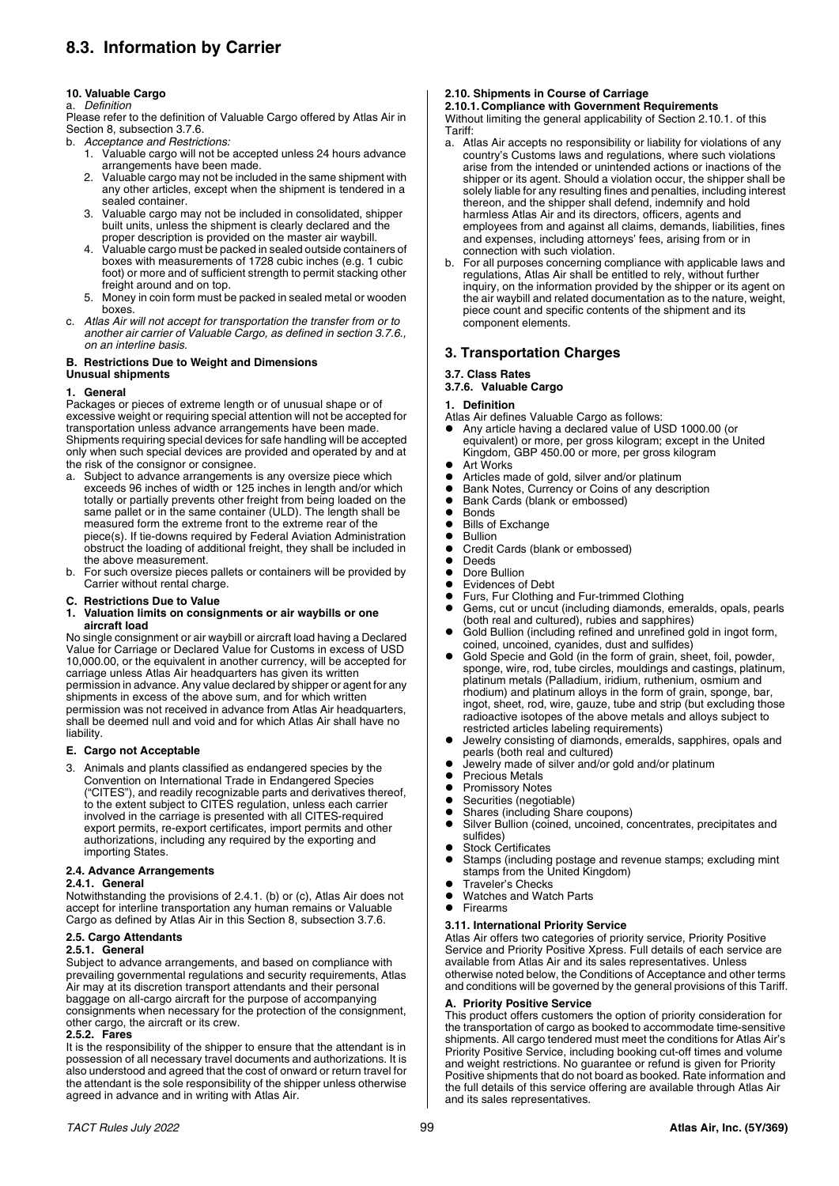# **8.3. Information by Carrier**

## **10. Valuable Cargo**

# a. *Definition*

Please refer to the definition of Valuable Cargo offered by Atlas Air in Section 8, subsection 3.7.6.

- b. *Acceptance and Restrictions:*
	- 1. Valuable cargo will not be accepted unless 24 hours advance arrangements have been made.
	- 2. Valuable cargo may not be included in the same shipment with any other articles, except when the shipment is tendered in a sealed container.
	- Valuable cargo may not be included in consolidated, shipper built units, unless the shipment is clearly declared and the proper description is provided on the master air waybill.
	- 4. Valuable cargo must be packed in sealed outside containers of boxes with measurements of 1728 cubic inches (e.g. 1 cubic foot) or more and of sufficient strength to permit stacking other freight around and on top.
	- 5. Money in coin form must be packed in sealed metal or wooden boxes.
- c. *Atlas Air will not accept for transportation the transfer from or to another air carrier of Valuable Cargo, as defined in section 3.7.6., on an interline basis.*

# **B. Restrictions Due to Weight and Dimensions**

# **Unusual shipments**

# **1. General**

Packages or pieces of extreme length or of unusual shape or of excessive weight or requiring special attention will not be accepted for transportation unless advance arrangements have been made. Shipments requiring special devices for safe handling will be accepted only when such special devices are provided and operated by and at the risk of the consignor or consignee.

- a. Subject to advance arrangements is any oversize piece which exceeds 96 inches of width or 125 inches in length and/or which totally or partially prevents other freight from being loaded on the same pallet or in the same container (ULD). The length shall be measured form the extreme front to the extreme rear of the piece(s). If tie-downs required by Federal Aviation Administration obstruct the loading of additional freight, they shall be included in the above measurement.
- b. For such oversize pieces pallets or containers will be provided by Carrier without rental charge.
- **C. Restrictions Due to Value**
- **1. Valuation limits on consignments or air waybills or one aircraft load**

No single consignment or air waybill or aircraft load having a Declared Value for Carriage or Declared Value for Customs in excess of USD 10,000.00, or the equivalent in another currency, will be accepted for carriage unless Atlas Air headquarters has given its written permission in advance. Any value declared by shipper or agent for any

shipments in excess of the above sum, and for which written permission was not received in advance from Atlas Air headquarters, shall be deemed null and void and for which Atlas Air shall have no liability.

### **E. Cargo not Acceptable**

3. Animals and plants classified as endangered species by the Convention on International Trade in Endangered Species ("CITES"), and readily recognizable parts and derivatives thereof, to the extent subject to CITES regulation, unless each carrier involved in the carriage is presented with all CITES-required export permits, re-export certificates, import permits and other authorizations, including any required by the exporting and importing States.

### **2.4. Advance Arrangements**

### **2.4.1. General**

Notwithstanding the provisions of 2.4.1. (b) or (c), Atlas Air does not accept for interline transportation any human remains or Valuable Cargo as defined by Atlas Air in this Section 8, subsection 3.7.6.

# **2.5. Cargo Attendants**

# **2.5.1. General**

Subject to advance arrangements, and based on compliance with prevailing governmental regulations and security requirements, Atlas Air may at its discretion transport attendants and their personal baggage on all-cargo aircraft for the purpose of accompanying consignments when necessary for the protection of the consignment, other cargo, the aircraft or its crew.

### **2.5.2. Fares**

It is the responsibility of the shipper to ensure that the attendant is in possession of all necessary travel documents and authorizations. It is also understood and agreed that the cost of onward or return travel for the attendant is the sole responsibility of the shipper unless otherwise agreed in advance and in writing with Atlas Air.

# **2.10. Shipments in Course of Carriage**

# **2.10.1. Compliance with Government Requirements**

Without limiting the general applicability of Section 2.10.1. of this Tariff:

- a. Atlas Air accepts no responsibility or liability for violations of any country's Customs laws and regulations, where such violations arise from the intended or unintended actions or inactions of the shipper or its agent. Should a violation occur, the shipper shall be solely liable for any resulting fines and penalties, including interest thereon, and the shipper shall defend, indemnify and hold harmless Atlas Air and its directors, officers, agents and employees from and against all claims, demands, liabilities, fines and expenses, including attorneys' fees, arising from or in connection with such violation.
- b. For all purposes concerning compliance with applicable laws and regulations, Atlas Air shall be entitled to rely, without further inquiry, on the information provided by the shipper or its agent on the air waybill and related documentation as to the nature, weight, piece count and specific contents of the shipment and its component elements.

# **3. Transportation Charges**

# **3.7. Class Rates**

# **3.7.6. Valuable Cargo**

- **1. Definition**
- Atlas Air defines Valuable Cargo as follows:
- Any article having a declared value of USD 1000.00 (or equivalent) or more, per gross kilogram; except in the United Kingdom, GBP 450.00 or more, per gross kilogram
- $\bullet$  Art Works
- Articles made of gold, silver and/or platinum<br>● Bank Notes, Currency or Coins of any descri
- Bank Notes, Currency or Coins of any description<br>• Bank Cards (blank or embossed)
- Bank Cards (blank or embossed)<br>● Bonds
- Bonds
- Bills of Exchange<br>• Bullion
- Bullion ● Credit Cards (blank or embossed)<br>● Deeds
- 
- Deeds • Dore Bullion
- Evidences of Debt
- Furs, Fur Clothing and Fur-trimmed Clothing<br>• Gems. cut.or uncut (including diamonds.emg
- Gems, cut or uncut (including diamonds, emeralds, opals, pearls (both real and cultured), rubies and sapphires)
- Gold Bullion (including refined and unrefined gold in ingot form, coined, uncoined, cyanides, dust and sulfides)
- Gold Specie and Gold (in the form of grain, sheet, foil, powder, sponge, wire, rod, tube circles, mouldings and castings, platinum, platinum metals (Palladium, iridium, ruthenium, osmium and rhodium) and platinum alloys in the form of grain, sponge, bar, ingot, sheet, rod, wire, gauze, tube and strip (but excluding those radioactive isotopes of the above metals and alloys subject to restricted articles labeling requirements)
- Jewelry consisting of diamonds, emeralds, sapphires, opals and pearls (both real and cultured)
- Jewelry made of silver and/or gold and/or platinum
- Precious Metals
- Promissory Notes
- Securities (negotiable)
- 
- Silver Bullion (coined, uncoined, concentrates, precipitates and sulfides)
- Stock Certificates
- Stamps (including postage and revenue stamps; excluding mint stamps from the United Kingdom)
- Traveler's Checks
- Watches and Watch Parts
- Firearms

#### **3.11. International Priority Service** Atlas Air offers two categories of priority service, Priority Positive

Service and Priority Positive Xpress. Full details of each service are available from Atlas Air and its sales representatives. Unless otherwise noted below, the Conditions of Acceptance and other terms and conditions will be governed by the general provisions of this Tariff.

# **A. Priority Positive Service**

This product offers customers the option of priority consideration for the transportation of cargo as booked to accommodate time-sensitive shipments. All cargo tendered must meet the conditions for Atlas Air's Priority Positive Service, including booking cut-off times and volume and weight restrictions. No guarantee or refund is given for Priority Positive shipments that do not board as booked. Rate information and the full details of this service offering are available through Atlas Air and its sales representatives.

• Shares (including Share coupons)<br>• Silver Bullion (coined, uncoined, co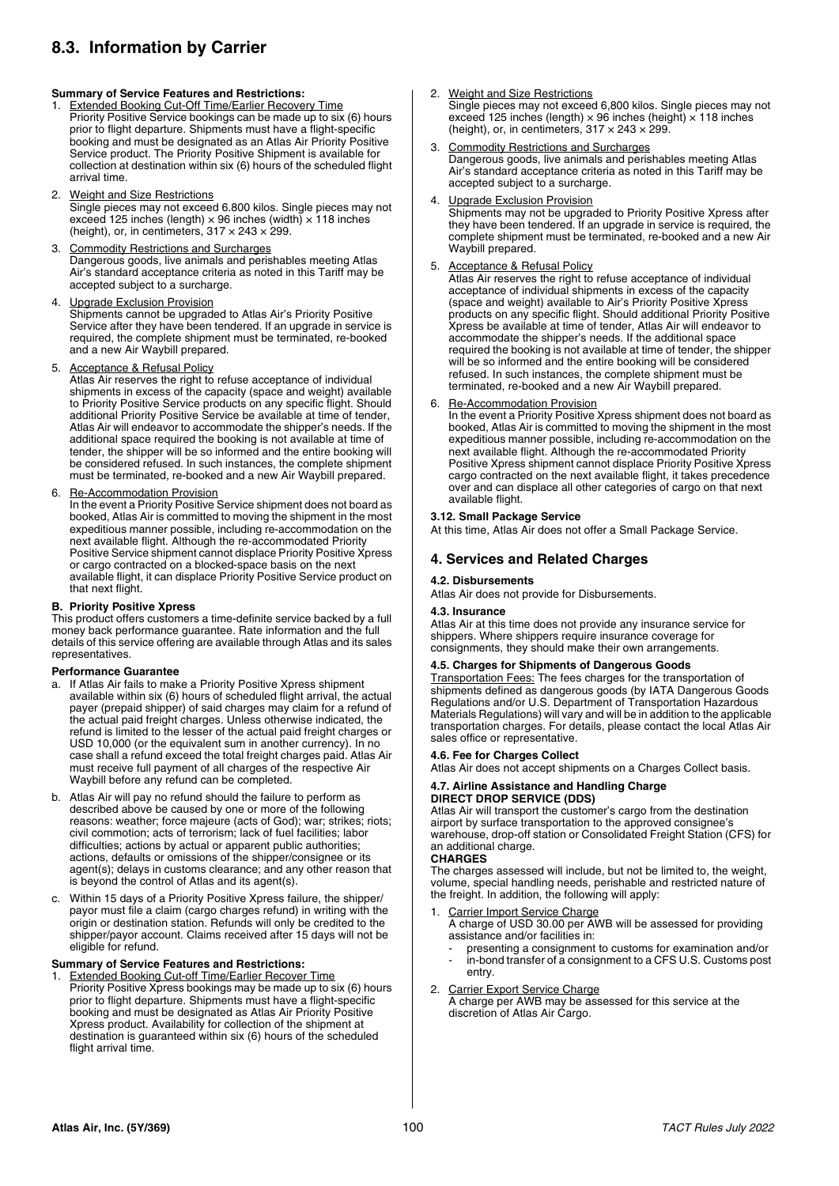# **8.3. Information by Carrier**

### **Summary of Service Features and Restrictions:**

- Extended Booking Cut-Off Time/Earlier Recovery Time Priority Positive Service bookings can be made up to six (6) hours prior to flight departure. Shipments must have a flight-specific booking and must be designated as an Atlas Air Priority Positive Service product. The Priority Positive Shipment is available for collection at destination within six (6) hours of the scheduled flight arrival time.
- 2. Weight and Size Restrictions Single pieces may not exceed 6.800 kilos. Single pieces may not exceed 125 inches (length)  $\times$  96 inches (width)  $\times$  118 inches (height), or, in centimeters,  $317 \times 243 \times 299$ .
- **Commodity Restrictions and Surcharges** Dangerous goods, live animals and perishables meeting Atlas Air's standard acceptance criteria as noted in this Tariff may be accepted subject to a surcharge.
- 4. Upgrade Exclusion Provision Shipments cannot be upgraded to Atlas Air's Priority Positive Service after they have been tendered. If an upgrade in service is required, the complete shipment must be terminated, re-booked and a new Air Waybill prepared.
- 5. Acceptance & Refusal Policy

**Atlas Air reserves the right to refuse acceptance of individual** shipments in excess of the capacity (space and weight) available to Priority Positive Service products on any specific flight. Should additional Priority Positive Service be available at time of tender, Atlas Air will endeavor to accommodate the shipper's needs. If the additional space required the booking is not available at time of tender, the shipper will be so informed and the entire booking will be considered refused. In such instances, the complete shipment must be terminated, re-booked and a new Air Waybill prepared.

### 6. Re-Accommodation Provision

In the event a Priority Positive Service shipment does not board as booked, Atlas Air is committed to moving the shipment in the most expeditious manner possible, including re-accommodation on the next available flight. Although the re-accommodated Priority Positive Service shipment cannot displace Priority Positive Xpress or cargo contracted on a blocked-space basis on the next available flight, it can displace Priority Positive Service product on that next flight.

### **B. Priority Positive Xpress**

This product offers customers a time-definite service backed by a full money back performance guarantee. Rate information and the full details of this service offering are available through Atlas and its sales representatives.

### **Performance Guarantee**

- a. If Atlas Air fails to make a Priority Positive Xpress shipment available within six (6) hours of scheduled flight arrival, the actual payer (prepaid shipper) of said charges may claim for a refund of the actual paid freight charges. Unless otherwise indicated, the refund is limited to the lesser of the actual paid freight charges or USD 10,000 (or the equivalent sum in another currency). In no case shall a refund exceed the total freight charges paid. Atlas Air must receive full payment of all charges of the respective Air Waybill before any refund can be completed.
- b. Atlas Air will pay no refund should the failure to perform as described above be caused by one or more of the following reasons: weather; force majeure (acts of God); war; strikes; riots; civil commotion; acts of terrorism; lack of fuel facilities; labor difficulties; actions by actual or apparent public authorities; actions, defaults or omissions of the shipper/consignee or its agent(s); delays in customs clearance; and any other reason that is beyond the control of Atlas and its agent(s).
- c. Within 15 days of a Priority Positive Xpress failure, the shipper/ payor must file a claim (cargo charges refund) in writing with the origin or destination station. Refunds will only be credited to the shipper/payor account. Claims received after 15 days will not be eligible for refund.

### **Summary of Service Features and Restrictions:**

Extended Booking Cut-off Time/Earlier Recover Time Priority Positive Xpress bookings may be made up to six (6) hours prior to flight departure. Shipments must have a flight-specific booking and must be designated as Atlas Air Priority Positive Xpress product. Availability for collection of the shipment at destination is guaranteed within six (6) hours of the scheduled flight arrival time.

- 2. Weight and Size Restrictions Single pieces may not exceed 6,800 kilos. Single pieces may not exceed 125 inches (length)  $\times$  96 inches (height)  $\times$  118 inches (height), or, in centimeters,  $317 \times 243 \times 299$ .
- 3. Commodity Restrictions and Surcharges Dangerous goods, live animals and perishables meeting Atlas Air's standard acceptance criteria as noted in this Tariff may be accepted subject to a surcharge.

### **Upgrade Exclusion Provision**

Shipments may not be upgraded to Priority Positive Xpress after they have been tendered. If an upgrade in service is required, the complete shipment must be terminated, re-booked and a new Air Waybill prepared.

## 5. Acceptance & Refusal Policy

Atlas Air reserves the right to refuse acceptance of individual acceptance of individual shipments in excess of the capacity (space and weight) available to Air's Priority Positive Xpress products on any specific flight. Should additional Priority Positive Xpress be available at time of tender, Atlas Air will endeavor to accommodate the shipper's needs. If the additional space required the booking is not available at time of tender, the shipper will be so informed and the entire booking will be considered refused. In such instances, the complete shipment must be terminated, re-booked and a new Air Waybill prepared.

### 6. Re-Accommodation Provision

In the event a Priority Positive Xpress shipment does not board as booked, Atlas Air is committed to moving the shipment in the most expeditious manner possible, including re-accommodation on the next available flight. Although the re-accommodated Priority Positive Xpress shipment cannot displace Priority Positive Xpress cargo contracted on the next available flight, it takes precedence over and can displace all other categories of cargo on that next available flight.

# **3.12. Small Package Service**

At this time, Atlas Air does not offer a Small Package Service.

## **4. Services and Related Charges**

### **4.2. Disbursements**

Atlas Air does not provide for Disbursements.

#### **4.3. Insurance**

Atlas Air at this time does not provide any insurance service for shippers. Where shippers require insurance coverage for consignments, they should make their own arrangements.

### **4.5. Charges for Shipments of Dangerous Goods**

Transportation Fees: The fees charges for the transportation of shipments defined as dangerous goods (by IATA Dangerous Goods Regulations and/or U.S. Department of Transportation Hazardous Materials Regulations) will vary and will be in addition to the applicable transportation charges. For details, please contact the local Atlas Air sales office or representative.

### **4.6. Fee for Charges Collect**

Atlas Air does not accept shipments on a Charges Collect basis.

#### **4.7. Airline Assistance and Handling Charge DIRECT DROP SERVICE (DDS)**

Atlas Air will transport the customer's cargo from the destination airport by surface transportation to the approved consignee's warehouse, drop-off station or Consolidated Freight Station (CFS) for an additional charge.

# **CHARGES**

The charges assessed will include, but not be limited to, the weight, volume, special handling needs, perishable and restricted nature of the freight. In addition, the following will apply:

- Carrier Import Service Charge A charge of USD 30.00 per AWB will be assessed for providing
- assistance and/or facilities in: presenting a consignment to customs for examination and/or
- in-bond transfer of a consignment to a CFS U.S. Customs post entry.
- 2. Carrier Export Service Charge A charge per AWB may be assessed for this service at the discretion of Atlas Air Cargo.